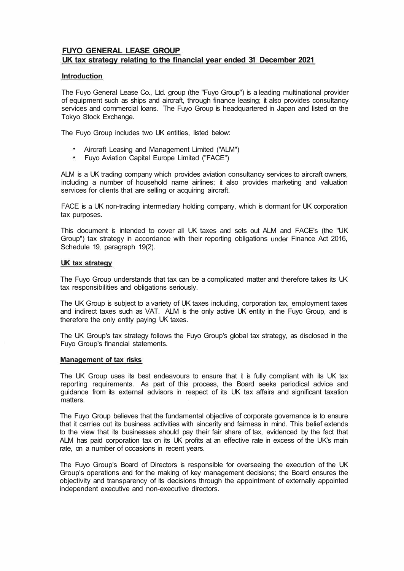# **FUYO GENERAL LEASE GROUP UK tax strategy relating to the financial year ended 31 December 2021**

# **Introduction**

The Fuyo General Lease Co., Ltd. group (the "Fuyo Group") is a leading multinational provider of equipment such as ships and aircraft, through finance leasing; it also provides consultancy services and commercial loans. The Fuyo Group is headquartered in Japan and listed on the Tokyo Stock Exchange.

The Fuyo Group includes two UK entities, listed below:

- Aircraft Leasing and Management Limited ("ALM")
- Fuyo Aviation Capital Europe Limited ("FACE")

ALM is a UK trading company which provides aviation consultancy services to aircraft owners, including a number of household name airlines; it also provides marketing and valuation services for clients that are selling or acquiring aircraft.

FACE is a UK non-trading intermediary holding company, which is dormant for UK corporation tax purposes.

This document is intended to cover all UK taxes and sets out ALM and FACE's (the "UK Group") tax strategy in accordance with their reporting obligations under Finance Act 2016, Schedule 19, paragraph 19(2).

# **UK tax strategy**

The Fuyo Group understands that tax can be a complicated matter and therefore takes its UK tax responsibilities and obligations seriously.

The UK Group is subject to a variety of UK taxes including, corporation tax, employment taxes and indirect taxes such as VAT. ALM is the only active UK entity in the Fuyo Group, and is therefore the only entity paying UK taxes.

The UK Group's tax strategy follows the Fuyo Group's global tax strategy, as disclosed in the Fuyo Group's financial statements.

### **Management of tax risks**

The UK Group uses its best endeavours to ensure that it is fully compliant with its UK tax reporting requirements. As part of this process, the Board seeks periodical advice and guidance from its external advisors in respect of its UK tax affairs and significant taxation matters.

The Fuyo Group believes that the fundamental objective of corporate governance is to ensure that it carries out its business activities with sincerity and fairness in mind. This belief extends to the view that its businesses should pay their fair share of tax, evidenced by the fact that ALM has paid corporation tax on its UK profits at an effective rate in excess of the UK's main rate, on a number of occasions in recent years.

The Fuyo Group's Board of Directors is responsible for overseeing the execution of the UK Group's operations and for the making of key management decisions; the Board ensures the objectivity and transparency of its decisions through the appointment of externally appointed independent executive and non-executive directors.